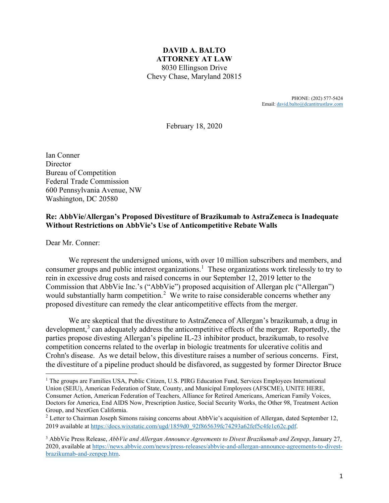### **DAVID A. BALTO ATTORNEY AT LAW**  8030 Ellingson Drive Chevy Chase, Maryland 20815

PHONE: (202) 577-5424 Email: [david.balto@dcantitrustlaw.com](mailto:david.balto@dcantitrustlaw.com)

February 18, 2020

Ian Conner **Director** Bureau of Competition Federal Trade Commission 600 Pennsylvania Avenue, NW Washington, DC 20580

#### **Re: AbbVie/Allergan's Proposed Divestiture of Brazikumab to AstraZeneca is Inadequate Without Restrictions on AbbVie's Use of Anticompetitive Rebate Walls**

Dear Mr. Conner:

We represent the undersigned unions, with over 10 million subscribers and members, and consumer groups and public interest organizations. [1](#page-0-0) These organizations work tirelessly to try to rein in excessive drug costs and raised concerns in our September 12, 2019 letter to the Commission that AbbVie Inc.'s ("AbbVie") proposed acquisition of Allergan plc ("Allergan") would substantially harm competition.<sup>[2](#page-0-1)</sup> We write to raise considerable concerns whether any proposed divestiture can remedy the clear anticompetitive effects from the merger.

We are skeptical that the divestiture to AstraZeneca of Allergan's brazikumab, a drug in development, $<sup>3</sup>$  $<sup>3</sup>$  $<sup>3</sup>$  can adequately address the anticompetitive effects of the merger. Reportedly, the</sup> parties propose divesting Allergan's pipeline IL-23 inhibitor product, brazikumab, to resolve competition concerns related to the overlap in biologic treatments for ulcerative colitis and Crohn's disease. As we detail below, this divestiture raises a number of serious concerns. First, the divestiture of a pipeline product should be disfavored, as suggested by former Director Bruce

<span id="page-0-0"></span><sup>&</sup>lt;sup>1</sup> The groups are Families USA, Public Citizen, U.S. PIRG Education Fund, Services Employees International Union (SEIU), American Federation of State, County, and Municipal Employees (AFSCME), UNITE HERE, Consumer Action, American Federation of Teachers, Alliance for Retired Americans, American Family Voices, Doctors for America, End AIDS Now, Prescription Justice, Social Security Works, the Other 98, Treatment Action Group, and NextGen California.

<span id="page-0-1"></span><sup>&</sup>lt;sup>2</sup> Letter to Chairman Joseph Simons raising concerns about AbbVie's acquisition of Allergan, dated September 12, 2019 available at [https://docs.wixstatic.com/ugd/1859d0\\_92f865639fc74293a62fef5c4fe1c62c.pdf.](https://docs.wixstatic.com/ugd/1859d0_92f865639fc74293a62fef5c4fe1c62c.pdf)

<span id="page-0-2"></span><sup>3</sup> AbbVie Press Release, *AbbVie and Allergan Announce Agreements to Divest Brazikumab and Zenpep*, January 27, 2020, available at [https://news.abbvie.com/news/press-releases/abbvie-and-allergan-announce-agreements-to-divest](https://news.abbvie.com/news/press-releases/abbvie-and-allergan-announce-agreements-to-divest-brazikumab-and-zenpep.htm)[brazikumab-and-zenpep.htm.](https://news.abbvie.com/news/press-releases/abbvie-and-allergan-announce-agreements-to-divest-brazikumab-and-zenpep.htm)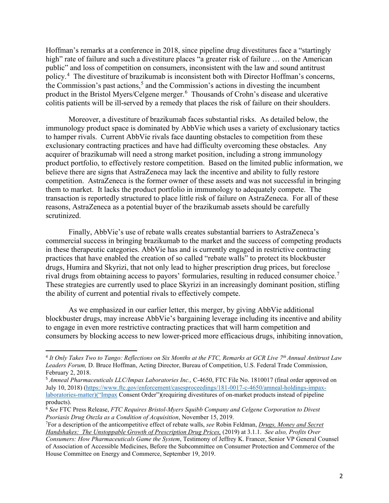Hoffman's remarks at a conference in 2018, since pipeline drug divestitures face a "startingly high" rate of failure and such a divestiture places "a greater risk of failure ... on the American public" and loss of competition on consumers, inconsistent with the law and sound antitrust policy.<sup>[4](#page-1-0)</sup> The divestiture of brazikumab is inconsistent both with Director Hoffman's concerns, the Commission's past actions, [5](#page-1-1) and the Commission's actions in divesting the incumbent product in the Bristol Myers/Celgene merger.<sup>[6](#page-1-2)</sup> Thousands of Crohn's disease and ulcerative colitis patients will be ill-served by a remedy that places the risk of failure on their shoulders.

Moreover, a divestiture of brazikumab faces substantial risks. As detailed below, the immunology product space is dominated by AbbVie which uses a variety of exclusionary tactics to hamper rivals. Current AbbVie rivals face daunting obstacles to competition from these exclusionary contracting practices and have had difficulty overcoming these obstacles. Any acquirer of brazikumab will need a strong market position, including a strong immunology product portfolio, to effectively restore competition. Based on the limited public information, we believe there are signs that AstraZeneca may lack the incentive and ability to fully restore competition. AstraZeneca is the former owner of these assets and was not successful in bringing them to market. It lacks the product portfolio in immunology to adequately compete. The transaction is reportedly structured to place little risk of failure on AstraZeneca. For all of these reasons, AstraZeneca as a potential buyer of the brazikumab assets should be carefully scrutinized.

Finally, AbbVie's use of rebate walls creates substantial barriers to AstraZeneca's commercial success in bringing brazikumab to the market and the success of competing products in these therapeutic categories. AbbVie has and is currently engaged in restrictive contracting practices that have enabled the creation of so called "rebate walls" to protect its blockbuster drugs, Humira and Skyrizi, that not only lead to higher prescription drug prices, but foreclose rival drugs from obtaining access to payors' formularies, resulting in reduced consumer choice.<sup>[7](#page-1-3)</sup> These strategies are currently used to place Skyrizi in an increasingly dominant position, stifling the ability of current and potential rivals to effectively compete.

As we emphasized in our earlier letter, this merger, by giving AbbVie additional blockbuster drugs, may increase AbbVie's bargaining leverage including its incentive and ability to engage in even more restrictive contracting practices that will harm competition and consumers by blocking access to new lower-priced more efficacious drugs, inhibiting innovation,

<span id="page-1-0"></span><sup>4</sup> *It Only Takes Two to Tango: Reflections on Six Months at the FTC, Remarks at GCR Live 7th Annual Antitrust Law Leaders Forum,* D. Bruce Hoffman, Acting Director, Bureau of Competition, U.S. Federal Trade Commission, February 2, 2018.

<span id="page-1-1"></span><sup>5</sup> *Amneal Pharmaceuticals LLC/Impax Laboratories Inc.,* C-4650, FTC File No. 1810017 (final order approved on July 10, 2018) [\(https://www.ftc.gov/enforcement/casesproceedings/181-0017-c-4650/amneal-holdings-impax](https://www.ftc.gov/enforcement/casesproceedings/181-0017-c-4650/amneal-holdings-impax-laboratories-matter)()[laboratories-matter\)\("Impax](https://www.ftc.gov/enforcement/casesproceedings/181-0017-c-4650/amneal-holdings-impax-laboratories-matter)() Consent Order")(requiring divestitures of on-market products instead of pipeline products).

<span id="page-1-2"></span><sup>6</sup> *See* FTC Press Release, *FTC Requires Bristol-Myers Squibb Company and Celgene Corporation to Divest Psoriasis Drug Otezla as a Condition of Acquisition*, November 15, 2019.

<span id="page-1-3"></span><sup>7</sup> For a description of the anticompetitive effect of rebate walls, *see* Robin Feldman, *Drugs, Money and Secret Handshakes: The Unstoppable Growth of Prescription Drug Prices,* (2019) at 3.1.1. *See also, Profits Over Consumers: How Pharmaceuticals Game the System*, Testimony of Jeffrey K. Francer, Senior VP General Counsel of Association of Accessible Medicines, Before the Subcommittee on Consumer Protection and Commerce of the House Committee on Energy and Commerce, September 19, 2019.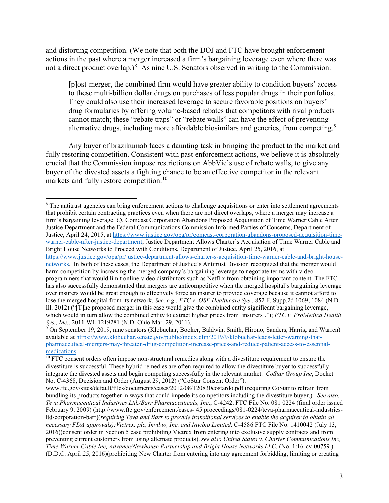and distorting competition. (We note that both the DOJ and FTC have brought enforcement actions in the past where a merger increased a firm's bargaining leverage even where there was not a direct product overlap.)<sup>[8](#page-2-0)</sup> As nine U.S. Senators observed in writing to the Commission:

[p]ost-merger, the combined firm would have greater ability to condition buyers' access to these multi-billion dollar drugs on purchases of less popular drugs in their portfolios. They could also use their increased leverage to secure favorable positions on buyers' drug formularies by offering volume-based rebates that competitors with rival products cannot match; these "rebate traps" or "rebate walls" can have the effect of preventing alternative drugs, including more affordable biosimilars and generics, from competing.<sup>[9](#page-2-1)</sup>

Any buyer of brazikumab faces a daunting task in bringing the product to the market and fully restoring competition. Consistent with past enforcement actions, we believe it is absolutely crucial that the Commission impose restrictions on AbbVie's use of rebate walls, to give any buyer of the divested assets a fighting chance to be an effective competitor in the relevant markets and fully restore competition.<sup>[10](#page-2-2)</sup>

[https://www.justice.gov/opa/pr/justice-department-allows-charter-s-acquisition-time-warner-cable-and-bright-house-](https://www.justice.gov/opa/pr/justice-department-allows-charter-s-acquisition-time-warner-cable-and-bright-house-networks)

<span id="page-2-0"></span><sup>&</sup>lt;sup>8</sup> The antitrust agencies can bring enforcement actions to challenge acquisitions or enter into settlement agreements that prohibit certain contracting practices even when there are not direct overlaps, where a merger may increase a firm's bargaining leverage. *Cf.* Comcast Corporation Abandons Proposed Acquisition of Time Warner Cable After Justice Department and the Federal Communications Commission Informed Parties of Concerns, Department of Justice, April 24, 2015, a[t https://www.justice.gov/opa/pr/comcast-corporation-abandons-proposed-acquisition-time](https://www.justice.gov/opa/pr/comcast-corporation-abandons-proposed-acquisition-time-warner-cable-after-justice-department)[warner-cable-after-justice-department;](https://www.justice.gov/opa/pr/comcast-corporation-abandons-proposed-acquisition-time-warner-cable-after-justice-department) Justice Department Allows Charter's Acquisition of Time Warner Cable and Bright House Networks to Proceed with Conditions, Department of Justice, April 25, 2016, at

[networks.](https://www.justice.gov/opa/pr/justice-department-allows-charter-s-acquisition-time-warner-cable-and-bright-house-networks) In both of these cases, the Department of Justice's Antitrust Division recognized that the merger would harm competition by increasing the merged company's bargaining leverage to negotiate terms with video programmers that would limit online video distributors such as Netflix from obtaining important content. The FTC has also successfully demonstrated that mergers are anticompetitive when the merged hospital's bargaining leverage over insurers would be great enough to effectively force an insurer to provide coverage because it cannot afford to lose the merged hospital from its network. *See, e.g.*, *FTC v. OSF Healthcare Sys*., 852 F. Supp.2d 1069, 1084 (N.D. Ill. 2012) ("[T]he proposed merger in this case would give the combined entity significant bargaining leverage, which would in turn allow the combined entity to extract higher prices from [insurers]."); *FTC v. ProMedica Health Sys., Inc.*, 2011 WL 1219281 (N.D. Ohio Mar. 29, 2011). **9 On September 19, 2011** (Supers) 9 On September 19, 2019, nine senators (Klobuchar, Booker, Baldwin, Smith, Hirono, Sanders, Harris, and Warren)

<span id="page-2-1"></span>available at [https://www.klobuchar.senate.gov/public/index.cfm/2019/9/klobuchar-leads-letter-warning-that](https://www.klobuchar.senate.gov/public/index.cfm/2019/9/klobuchar-leads-letter-warning-that-pharmaceutical-mergers-may-threaten-drug-competition-increase-prices-and-reduce-patient-access-to-essential-medications)[pharmaceutical-mergers-may-threaten-drug-competition-increase-prices-and-reduce-patient-access-to-essential](https://www.klobuchar.senate.gov/public/index.cfm/2019/9/klobuchar-leads-letter-warning-that-pharmaceutical-mergers-may-threaten-drug-competition-increase-prices-and-reduce-patient-access-to-essential-medications)[medications.](https://www.klobuchar.senate.gov/public/index.cfm/2019/9/klobuchar-leads-letter-warning-that-pharmaceutical-mergers-may-threaten-drug-competition-increase-prices-and-reduce-patient-access-to-essential-medications)

<span id="page-2-2"></span> $\frac{10}{10}$  FTC consent orders often impose non-structural remedies along with a divestiture requirement to ensure the divestiture is successful. These hybrid remedies are often required to allow the divestiture buyer to successfully integrate the divested assets and begin competing successfully in the relevant market. *CoStar Group Inc*, Docket No. C-4368, Decision and Order (August 29, 2012) ("CoStar Consent Order").

www.ftc.gov/sites/default/files/documents/cases/2012/08/120830costardo.pdf (requiring CoStar to refrain from bundling its products together in ways that could impede its competitors including the divestiture buyer.). *See also*, *Teva Pharmaceutical Industries Ltd./Barr Pharmaceuticals, Inc*., C-4242, FTC File No. 081 0224 (final order issued February 9, 2009) (http://www.ftc.gov/enforcement/cases- 45 proceedings/081-0224/teva-pharmaceutical-industriesltd-corporation-barr)(*requiring Teva and Barr to provide transitional services to enable the acquirer to obtain all necessary FDA approvals);Victrex, plc, Invibio, Inc. and Invibio Limited,* C-4586 FTC File No. 1410042 (July 13, 2016)(consent order in Section 5 case prohibiting Victrex from entering into exclusive supply contracts and from preventing current customers from using alternate products). *see also United States v. Charter Communications Inc, Time Warner Cable Inc, Advance/Newhouse Partnership and Bright House Networks LLC*, (No. 1:16-cv-00759 ) (D.D.C. April 25, 2016)(prohibiting New Charter from entering into any agreement forbidding, limiting or creating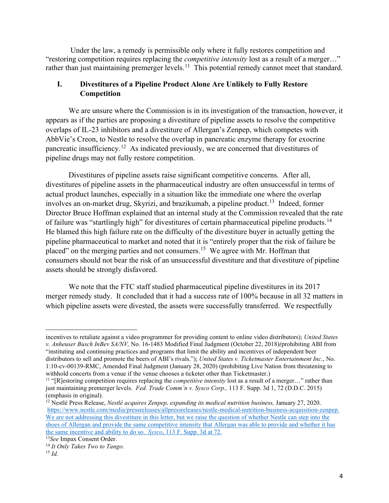Under the law, a remedy is permissible only where it fully restores competition and "restoring competition requires replacing the *competitive intensity* lost as a result of a merger…" rather than just maintaining premerger levels.<sup>[11](#page-3-0)</sup> This potential remedy cannot meet that standard.

## **I. Divestitures of a Pipeline Product Alone Are Unlikely to Fully Restore Competition**

We are unsure where the Commission is in its investigation of the transaction, however, it appears as if the parties are proposing a divestiture of pipeline assets to resolve the competitive overlaps of IL-23 inhibitors and a divestiture of Allergan's Zenpep, which competes with AbbVie's Creon, to Nestle to resolve the overlap in pancreatic enzyme therapy for exocrine pancreatic insufficiency.<sup>12</sup> As indicated previously, we are concerned that divestitures of pipeline drugs may not fully restore competition.

Divestitures of pipeline assets raise significant competitive concerns. After all, divestitures of pipeline assets in the pharmaceutical industry are often unsuccessful in terms of actual product launches, especially in a situation like the immediate one where the overlap involves an on-market drug, Skyrizi, and brazikumab, a pipeline product.<sup>[13](#page-3-2)</sup> Indeed, former Director Bruce Hoffman explained that an internal study at the Commission revealed that the rate of failure was "startlingly high" for divestitures of certain pharmaceutical pipeline products.<sup>14</sup> He blamed this high failure rate on the difficulty of the divestiture buyer in actually getting the pipeline pharmaceutical to market and noted that it is "entirely proper that the risk of failure be placed" on the merging parties and not consumers.<sup>[15](#page-3-4)</sup> We agree with Mr. Hoffman that consumers should not bear the risk of an unsuccessful divestiture and that divestiture of pipeline assets should be strongly disfavored.

We note that the FTC staff studied pharmaceutical pipeline divestitures in its 2017 merger remedy study. It concluded that it had a success rate of 100% because in all 32 matters in which pipeline assets were divested, the assets were successfully transferred. We respectfully

<span id="page-3-1"></span><sup>12</sup> Nestlé Press Release, *Nestlé acquires Zenpep, expanding its medical nutrition business*, January 27, 2020. [https://www.nestle.com/media/pressreleases/allpressreleases/nestle-medical-nutrition-business-acquisition-zenpep.](https://www.nestle.com/media/pressreleases/allpressreleases/nestle-medical-nutrition-business-acquisition-zenpep) We are not addressing this divestiture in this letter, but we raise the question of whether Nestle can step into the shoes of Allergan and provide the same competitive intensity that Allergan was able to provide and whether it has the same incentive and ability to do so. *Sysco*, 113 F. Supp. 3d at 72.

incentives to retaliate against a video programmer for providing content to online video distributors); *United States v. Anheuser Busch InBev SA/NV,* No. 16-1483 Modified Final Judgment (October 22, 2018)*(*prohibiting ABI from "instituting and continuing practices and programs that limit the ability and incentives of independent beer distributors to sell and promote the beers of ABI's rivals."); *United States v. Ticketmaster Entertainment Inc*., No. 1:10-cv-00139-RMC, Amended Final Judgment (January 28, 2020) (prohibiting Live Nation from threatening to withhold concerts from a venue if the venue chooses a ticketer other than Ticketmaster.)

<span id="page-3-0"></span><sup>11</sup> "[R]estoring competition requires replacing the *competitive intensity* lost as a result of a merger…" rather than just maintaining premerger levels. *Fed. Trade Comm'n v. Sysco Corp.,* 113 F. Supp. 3d 1, 72 (D.D.C. 2015) (emphasis in original).

<span id="page-3-2"></span><sup>13</sup>*See* Impax Consent Order.

<span id="page-3-3"></span><sup>14</sup> *It Only Takes Two to Tango.*

<span id="page-3-4"></span><sup>15</sup> *Id.*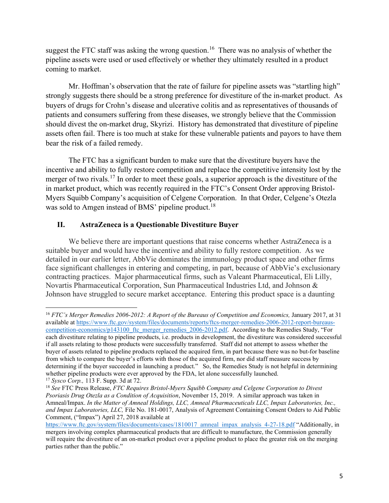suggest the FTC staff was asking the wrong question.<sup>16</sup> There was no analysis of whether the pipeline assets were used or used effectively or whether they ultimately resulted in a product coming to market.

Mr. Hoffman's observation that the rate of failure for pipeline assets was "startling high" strongly suggests there should be a strong preference for divestiture of the in-market product. As buyers of drugs for Crohn's disease and ulcerative colitis and as representatives of thousands of patients and consumers suffering from these diseases, we strongly believe that the Commission should divest the on-market drug, Skyrizi. History has demonstrated that divestiture of pipeline assets often fail. There is too much at stake for these vulnerable patients and payors to have them bear the risk of a failed remedy.

The FTC has a significant burden to make sure that the divestiture buyers have the incentive and ability to fully restore competition and replace the competitive intensity lost by the merger of two rivals.<sup>[17](#page-4-1)</sup> In order to meet these goals, a superior approach is the divestiture of the in market product, which was recently required in the FTC's Consent Order approving Bristol-Myers Squibb Company's acquisition of Celgene Corporation. In that Order, Celgene's Otezla was sold to Amgen instead of BMS' pipeline product.<sup>18</sup>

### **II. AstraZeneca is a Questionable Divestiture Buyer**

We believe there are important questions that raise concerns whether AstraZeneca is a suitable buyer and would have the incentive and ability to fully restore competition. As we detailed in our earlier letter, AbbVie dominates the immunology product space and other firms face significant challenges in entering and competing, in part, because of AbbVie's exclusionary contracting practices. Major pharmaceutical firms, such as Valeant Pharmaceutical, Eli Lilly, Novartis Pharmaceutical Corporation, Sun Pharmaceutical Industries Ltd, and Johnson & Johnson have struggled to secure market acceptance. Entering this product space is a daunting

<span id="page-4-0"></span><sup>&</sup>lt;sup>16</sup> *FTC's Merger Remedies 2006-2012: A Report of the Bureaus of Competition and Economics, January 2017, at 31* available at [https://www.ftc.gov/system/files/documents/reports/ftcs-merger-remedies-2006-2012-report-bureaus](https://www.ftc.gov/system/files/documents/reports/ftcs-merger-remedies-2006-2012-report-bureaus-competition-economics/p143100_ftc_merger_remedies_2006-2012.pdf)competition-economics/p143100 ftc merger remedies 2006-2012.pdf. According to the Remedies Study, "For each divestiture relating to pipeline products, i.e. products in development, the divestiture was considered successful if all assets relating to those products were successfully transferred. Staff did not attempt to assess whether the buyer of assets related to pipeline products replaced the acquired firm, in part because there was no but-for baseline from which to compare the buyer's efforts with those of the acquired firm, nor did staff measure success by determining if the buyer succeeded in launching a product." So, the Remedies Study is not helpful in determining whether pipeline products were ever approved by the FDA, let alone successfully launched.

<span id="page-4-1"></span><sup>17</sup> *Sysco Corp.,* 113 F. Supp. 3d at 72.

<span id="page-4-2"></span><sup>18</sup> *See* FTC Press Release, *FTC Requires Bristol-Myers Squibb Company and Celgene Corporation to Divest Psoriasis Drug Otezla as a Condition of Acquisition*, November 15, 2019. A similar approach was taken in Amneal/Impax. *In the Matter of Amneal Holdings, LLC, Amneal Pharmaceuticals LLC, Impax Laboratories, Inc., and Impax Laboratories, LLC,* File No. 181-0017, Analysis of Agreement Containing Consent Orders to Aid Public Comment, ("Impax") April 27, 2018 available at

[https://www.ftc.gov/system/files/documents/cases/1810017\\_amneal\\_impax\\_analysis\\_4-27-18.pdf](https://www.ftc.gov/system/files/documents/cases/1810017_amneal_impax_analysis_4-27-18.pdf) "Additionally, in mergers involving complex pharmaceutical products that are difficult to manufacture, the Commission generally will require the divestiture of an on-market product over a pipeline product to place the greater risk on the merging parties rather than the public."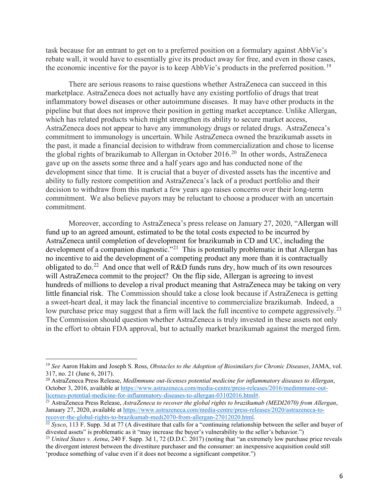task because for an entrant to get on to a preferred position on a formulary against AbbVie's rebate wall, it would have to essentially give its product away for free, and even in those cases, the economic incentive for the payor is to keep AbbVie's products in the preferred position.<sup>19</sup>

There are serious reasons to raise questions whether AstraZeneca can succeed in this marketplace. AstraZeneca does not actually have any existing portfolio of drugs that treat inflammatory bowel diseases or other autoimmune diseases. It may have other products in the pipeline but that does not improve their position in getting market acceptance. Unlike Allergan, which has related products which might strengthen its ability to secure market access, AstraZeneca does not appear to have any immunology drugs or related drugs. AstraZeneca's commitment to immunology is uncertain. While AstraZeneca owned the brazikumab assets in the past, it made a financial decision to withdraw from commercialization and chose to license the global rights of brazikumab to Allergan in October [20](#page-5-1)16.<sup>20</sup> In other words, AstraZeneca gave up on the assets some three and a half years ago and has conducted none of the development since that time. It is crucial that a buyer of divested assets has the incentive and ability to fully restore competition and AstraZeneca's lack of a product portfolio and their decision to withdraw from this market a few years ago raises concerns over their long-term commitment. We also believe payors may be reluctant to choose a producer with an uncertain commitment.

Moreover, according to AstraZeneca's press release on January 27, 2020, "Allergan will fund up to an agreed amount, estimated to be the total costs expected to be incurred by AstraZeneca until completion of development for brazikumab in CD and UC, including the development of a companion diagnostic."<sup>[21](#page-5-2)</sup> This is potentially problematic in that Allergan has no incentive to aid the development of a competing product any more than it is contractually obligated to do.<sup>22</sup> And once that well of R&D funds runs dry, how much of its own resources will AstraZeneca commit to the project? On the flip side, Allergan is agreeing to invest hundreds of millions to develop a rival product meaning that AstraZeneca may be taking on very little financial risk. The Commission should take a close look because if AstraZeneca is getting a sweet-heart deal, it may lack the financial incentive to commercialize brazikumab. Indeed, a low purchase price may suggest that a firm will lack the full incentive to compete aggressively.<sup>23</sup> The Commission should question whether AstraZeneca is truly invested in these assets not only in the effort to obtain FDA approval, but to actually market brazikumab against the merged firm.

<span id="page-5-0"></span><sup>19</sup> *See* Aaron Hakim and Joseph S. Ross, *Obstacles to the Adoption of Biosimilars for Chronic Diseases*, JAMA, vol. 317, no. 21 (June 6, 2017).

<span id="page-5-1"></span><sup>20</sup> AstraZeneca Press Release, *MedImmune out-licenses potential medicine for inflammatory diseases to Allergan*, October 3, 2016, available at [https://www.astrazeneca.com/media-centre/press-releases/2016/medimmune-out](https://www.astrazeneca.com/media-centre/press-releases/2016/medimmune-out-licenses-potential-medicine-for-inflammatory-diseases-to-allergan-03102016.html)[licenses-potential-medicine-for-inflammatory-diseases-to-allergan-03102016.html#.](https://www.astrazeneca.com/media-centre/press-releases/2016/medimmune-out-licenses-potential-medicine-for-inflammatory-diseases-to-allergan-03102016.html)

<span id="page-5-2"></span><sup>21</sup> AstraZeneca Press Release, *AstraZeneca to recover the global rights to brazikumab (MEDI2070) from Allergan*, January 27, 2020, available at [https://www.astrazeneca.com/media-centre/press-releases/2020/astrazeneca-to](https://www.astrazeneca.com/media-centre/press-releases/2020/astrazeneca-to-recover-the-global-rights-to-brazikumab-medi2070-from-allergan-27012020.html)[recover-the-global-rights-to-brazikumab-medi2070-from-allergan-27012020.html.](https://www.astrazeneca.com/media-centre/press-releases/2020/astrazeneca-to-recover-the-global-rights-to-brazikumab-medi2070-from-allergan-27012020.html)

<span id="page-5-3"></span><sup>&</sup>lt;sup>22</sup> *Sysco*, 113 F. Supp. 3d at 77 (A divestiture that calls for a "continuing relationship between the seller and buyer of divested assets" is problematic as it "may increase the buyer's vulnerability to the seller's behavior.")<br><sup>23</sup> United States v. Aetna, 240 F. Supp. 3d 1, 72 (D.D.C. 2017) (noting that "an extremely low purchase price revea

<span id="page-5-4"></span>the divergent interest between the divestiture purchaser and the consumer: an inexpensive acquisition could still 'produce something of value even if it does not become a significant competitor.")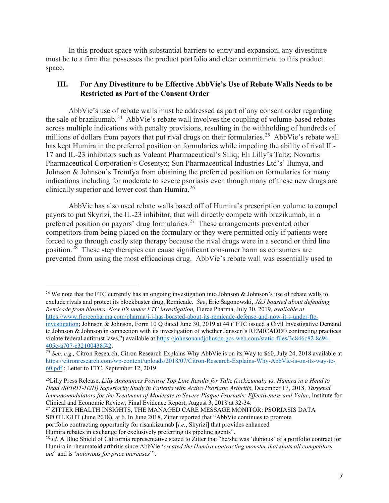In this product space with substantial barriers to entry and expansion, any divestiture must be to a firm that possesses the product portfolio and clear commitment to this product space.

## **III. For Any Divestiture to be Effective AbbVie's Use of Rebate Walls Needs to be Restricted as Part of the Consent Order**

AbbVie's use of rebate walls must be addressed as part of any consent order regarding the sale of brazikumab.<sup>24</sup> AbbVie's rebate wall involves the coupling of volume-based rebates across multiple indications with penalty provisions, resulting in the withholding of hundreds of millions of dollars from payors that put rival drugs on their formularies.<sup>[25](#page-6-1)</sup> AbbVie's rebate wall has kept Humira in the preferred position on formularies while impeding the ability of rival IL-17 and IL-23 inhibitors such as Valeant Pharmaceutical's Siliq; Eli Lilly's Taltz; Novartis Pharmaceutical Corporation's Cosentyx; Sun Pharmaceutical Industries Ltd's' Ilumya, and Johnson & Johnson's Tremfya from obtaining the preferred position on formularies for many indications including for moderate to severe psoriasis even though many of these new drugs are clinically superior and lower cost than Humira.<sup>[26](#page-6-2)</sup>

AbbVie has also used rebate walls based off of Humira's prescription volume to compel payors to put Skyrizi, the IL-23 inhibitor, that will directly compete with brazikumab, in a preferred position on payors' drug formularies.<sup>27</sup> These arrangements prevented other competitors from being placed on the formulary or they were permitted only if patients were forced to go through costly step therapy because the rival drugs were in a second or third line position.<sup>[28](#page-6-4)</sup> These step therapies can cause significant consumer harm as consumers are prevented from using the most efficacious drug. AbbVie's rebate wall was essentially used to

<span id="page-6-3"></span><sup>27</sup> ZITTER HEALTH INSIGHTS, THE MANAGED CARE MESSAGE MONITOR: PSORIASIS DATA SPOTLIGHT (June 2018), at 6. In June 2018, Zitter reported that "AbbVie continues to promote portfolio contracting opportunity for risankizumab [*i.e.*, Skyrizi] that provides enhanced Humira rebates in exchange for exclusively preferring its pipeline agents".

<span id="page-6-0"></span><sup>&</sup>lt;sup>24</sup> We note that the FTC currently has an ongoing investigation into Johnson & Johnson's use of rebate walls to exclude rivals and protect its blockbuster drug, Remicade. *See*, Eric Sagonowski, *J&J boasted about defending Remicade from biosims. Now it's under FTC investigation,* Fierce Pharma, July 30, 2019*, available at* [https://www.fiercepharma.com/pharma/j-j-has-boasted-about-its-remicade-defense-and-now-it-s-under-ftc-](https://www.fiercepharma.com/pharma/j-j-has-boasted-about-its-remicade-defense-and-now-it-s-under-ftc-investigation)

[investigation;](https://www.fiercepharma.com/pharma/j-j-has-boasted-about-its-remicade-defense-and-now-it-s-under-ftc-investigation) Johnson & Johnson, Form 10 Q dated June 30, 2019 at 44 ("FTC issued a Civil Investigative Demand to Johnson & Johnson in connection with its investigation of whether Janssen's REMICADE® contracting practices violate federal antitrust laws.") available at [https://johnsonandjohnson.gcs-web.com/static-files/3c846c82-8c94-](https://johnsonandjohnson.gcs-web.com/static-files/3c846c82-8c94-405c-a707-c32100438f42) [405c-a707-c32100438f42.](https://johnsonandjohnson.gcs-web.com/static-files/3c846c82-8c94-405c-a707-c32100438f42) 25 *See, e.g.,* Citron Research, Citron Research Explains Why AbbVie is on its Way to \$60, July 24, 2018 available at

<span id="page-6-1"></span>[https://citronresearch.com/wp-content/uploads/2018/07/Citron-Research-Explains-Why-AbbVie-is-on-its-way-to-](https://citronresearch.com/wp-content/uploads/2018/07/Citron-Research-Explains-Why-AbbVie-is-on-its-way-to-60.pdf)[60.pdf.](https://citronresearch.com/wp-content/uploads/2018/07/Citron-Research-Explains-Why-AbbVie-is-on-its-way-to-60.pdf); Letter to FTC, September 12, 2019.

<span id="page-6-2"></span><sup>26</sup>Lilly Press Release, *Lilly Announces Positive Top Line Results for Taltz (ixekizumab) vs. Humira in a Head to Head (SPIRIT-H2H) Superiority Study in Patients with Active Psoriatic Arthritis*, December 17, 2018. *Targeted Immunomodulators for the Treatment of Moderate to Severe Plaque Psoriasis: Effectiveness and Value*, Institute for Clinical and Economic Review, Final Evidence Report, August 3, 2018 at 32-34.

<span id="page-6-4"></span><sup>&</sup>lt;sup>28</sup> *Id.* A Blue Shield of California representative stated to Zitter that "he/she was 'dubious' of a portfolio contract for Humira in rheumatoid arthritis since AbbVie '*created the Humira contracting monster that shuts all competitors out*' and is '*notorious for price increases*'".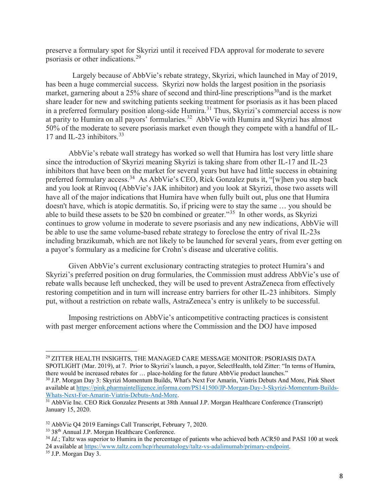preserve a formulary spot for Skyrizi until it received FDA approval for moderate to severe psoriasis or other indications.<sup>[29](#page-7-0)</sup>

 Largely because of AbbVie's rebate strategy, Skyrizi, which launched in May of 2019, has been a huge commercial success. Skyrizi now holds the largest position in the psoriasis market, garnering about a 25% share of second and third-line prescriptions<sup>30</sup> and is the market share leader for new and switching patients seeking treatment for psoriasis as it has been placed in a preferred formulary position along-side Humira.<sup>[31](#page-7-2)</sup> Thus, Skyrizi's commercial access is now at parity to Humira on all payors' formularies.[32](#page-7-3) AbbVie with Humira and Skyrizi has almost 50% of the moderate to severe psoriasis market even though they compete with a handful of IL-17 and IL-23 inhibitors. [33](#page-7-4)

AbbVie's rebate wall strategy has worked so well that Humira has lost very little share since the introduction of Skyrizi meaning Skyrizi is taking share from other IL-17 and IL-23 inhibitors that have been on the market for several years but have had little success in obtaining preferred formulary access.<sup>[34](#page-7-5)</sup> As AbbVie's CEO, Rick Gonzalez puts it, "[w]hen you step back and you look at Rinvoq (AbbVie's JAK inhibitor) and you look at Skyrizi, those two assets will have all of the major indications that Humira have when fully built out, plus one that Humira doesn't have, which is atopic dermatitis. So, if pricing were to stay the same … you should be able to build these assets to be \$20 bn combined or greater."[35](#page-7-6) In other words, as Skyrizi continues to grow volume in moderate to severe psoriasis and any new indications, AbbVie will be able to use the same volume-based rebate strategy to foreclose the entry of rival IL-23s including brazikumab, which are not likely to be launched for several years, from ever getting on a payor's formulary as a medicine for Crohn's disease and ulcerative colitis.

Given AbbVie's current exclusionary contracting strategies to protect Humira's and Skyrizi's preferred position on drug formularies, the Commission must address AbbVie's use of rebate walls because left unchecked, they will be used to prevent AstraZeneca from effectively restoring competition and in turn will increase entry barriers for other IL-23 inhibitors. Simply put, without a restriction on rebate walls, AstraZeneca's entry is unlikely to be successful.

Imposing restrictions on AbbVie's anticompetitive contracting practices is consistent with past merger enforcement actions where the Commission and the DOJ have imposed

<span id="page-7-0"></span><sup>29</sup> ZITTER HEALTH INSIGHTS, THE MANAGED CARE MESSAGE MONITOR: PSORIASIS DATA SPOTLIGHT (Mar. 2019), at 7. Prior to Skyrizi's launch, a payor, SelectHealth, told Zitter: "In terms of Humira, there would be increased rebates for … place-holding for the future AbbVie product launches."

<span id="page-7-1"></span><sup>30</sup> J.P. Morgan Day 3: Skyrizi Momentum Builds, What's Next For Amarin, Viatris Debuts And More, Pink Sheet available at https://pink.pharmaintelligence.informa.com/PS141500/JP-Morgan-Day-3-Skyrizi-Momentum-Builds-Whats-Next-For-Amarin-Viatris-Debuts-And-More.

<span id="page-7-2"></span><sup>&</sup>lt;sup>31</sup> AbbVie Inc. CEO Rick Gonzalez Presents at 38th Annual J.P. Morgan Healthcare Conference (Transcript) January 15, 2020.

<span id="page-7-3"></span><sup>&</sup>lt;sup>32</sup> AbbVie Q4 2019 Earnings Call Transcript, February 7, 2020.<br><sup>33</sup> 38<sup>th</sup> Annual J.P. Morgan Healthcare Conference.

<span id="page-7-4"></span>

<span id="page-7-5"></span><sup>&</sup>lt;sup>34</sup> *Id.*; Taltz was superior to Humira in the percentage of patients who achieved both ACR50 and PASI 100 at week 24 available at [https://www.taltz.com/hcp/rheumatology/taltz-vs-adalimumab/primary-endpoint.](https://www.taltz.com/hcp/rheumatology/taltz-vs-adalimumab/primary-endpoint)

<span id="page-7-6"></span><sup>35</sup> J.P. Morgan Day 3.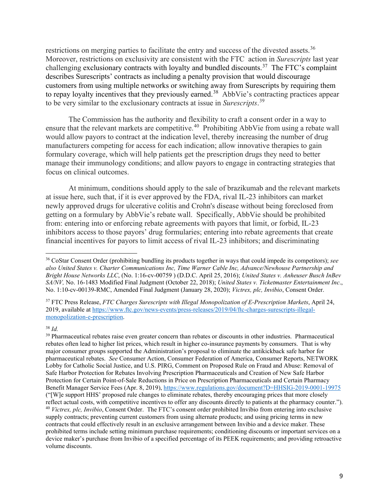restrictions on merging parties to facilitate the entry and success of the divested assets.<sup>[36](#page-8-0)</sup> Moreover, restrictions on exclusivity are consistent with the FTC action in *Surescripts* last year challenging exclusionary contracts with loyalty and bundled discounts.<sup>[37](#page-8-1)</sup> The FTC's complaint describes Surescripts' contracts as including a penalty provision that would discourage customers from using multiple networks or switching away from Surescripts by requiring them to repay loyalty incentives that they previously earned.<sup>38</sup> AbbVie's contracting practices appear to be very similar to the exclusionary contracts at issue in *Surescripts*. [39](#page-8-3)

The Commission has the authority and flexibility to craft a consent order in a way to ensure that the relevant markets are competitive.<sup>40</sup> Prohibiting AbbVie from using a rebate wall would allow payors to contract at the indication level, thereby increasing the number of drug manufacturers competing for access for each indication; allow innovative therapies to gain formulary coverage, which will help patients get the prescription drugs they need to better manage their immunology conditions; and allow payors to engage in contracting strategies that focus on clinical outcomes.

At minimum, conditions should apply to the sale of brazikumab and the relevant markets at issue here, such that, if it is ever approved by the FDA, rival IL-23 inhibitors can market newly approved drugs for ulcerative colitis and Crohn's disease without being foreclosed from getting on a formulary by AbbVie's rebate wall. Specifically, AbbVie should be prohibited from: entering into or enforcing rebate agreements with payors that limit, or forbid, IL-23 inhibitors access to those payors' drug formularies; entering into rebate agreements that create financial incentives for payors to limit access of rival IL-23 inhibitors; and discriminating

#### <span id="page-8-2"></span><sup>38</sup> *Id.*

<span id="page-8-0"></span><sup>36</sup> CoStar Consent Order (prohibiting bundling its products together in ways that could impede its competitors); *see also United States v. Charter Communications Inc, Time Warner Cable Inc, Advance/Newhouse Partnership and Bright House Networks LLC*, (No. 1:16-cv-00759 ) (D.D.C. April 25, 2016); *United States v. Anheuser Busch InBev SA/NV,* No. 16-1483 Modified Final Judgment (October 22, 2018); *United States v. Ticketmaster Entertainment Inc*., No. 1:10-cv-00139-RMC, Amended Final Judgment (January 28, 2020); *Victrex, plc, Invibio*, Consent Order.

<span id="page-8-1"></span><sup>37</sup> FTC Press Release, *FTC Charges Surescripts with Illegal Monopolization of E-Prescription Markets*, April 24, 2019, available at [https://www.ftc.gov/news-events/press-releases/2019/04/ftc-charges-surescripts-illegal](https://www.ftc.gov/news-events/press-releases/2019/04/ftc-charges-surescripts-illegal-monopolization-e-prescription)[monopolization-e-prescription.](https://www.ftc.gov/news-events/press-releases/2019/04/ftc-charges-surescripts-illegal-monopolization-e-prescription)

<span id="page-8-4"></span><span id="page-8-3"></span><sup>&</sup>lt;sup>39</sup> Pharmaceutical rebates raise even greater concern than rebates or discounts in other industries. Pharmaceutical rebates often lead to higher list prices, which result in higher co-insurance payments by consumers. That is why major consumer groups supported the Administration's proposal to eliminate the antikickback safe harbor for pharmaceutical rebates. *See* Consumer Action, Consumer Federation of America, Consumer Reports, NETWORK Lobby for Catholic Social Justice, and U.S. PIRG, Comment on Proposed Rule on Fraud and Abuse: Removal of Safe Harbor Protection for Rebates Involving Prescription Pharmaceuticals and Creation of New Safe Harbor Protection for Certain Point-of-Sale Reductions in Price on Prescription Pharmaceuticals and Certain Pharmacy Benefit Manager Service Fees (Apr. 8, 2019)[, https://www.regulations.gov/document?D=HHSIG-2019-0001-19975](https://www.regulations.gov/document?D=HHSIG-2019-0001-19975) ("[W]e support HHS' proposed rule changes to eliminate rebates, thereby encouraging prices that more closely reflect actual costs, with competitive incentives to offer any discounts directly to patients at the pharmacy counter."). <sup>40</sup> *Victrex, plc, Invibio*, Consent Order. The FTC's consent order prohibited Invibio from entering into exclusive supply contracts; preventing current customers from using alternate products; and using pricing terms in new contracts that could effectively result in an exclusive arrangement between Invibio and a device maker. These prohibited terms include setting minimum purchase requirements; conditioning discounts or important services on a device maker's purchase from Invibio of a specified percentage of its PEEK requirements; and providing retroactive volume discounts.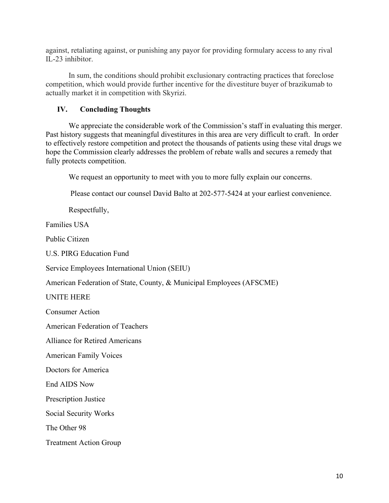against, retaliating against, or punishing any payor for providing formulary access to any rival IL-23 inhibitor.

In sum, the conditions should prohibit exclusionary contracting practices that foreclose competition, which would provide further incentive for the divestiture buyer of brazikumab to actually market it in competition with Skyrizi.

#### **IV. Concluding Thoughts**

We appreciate the considerable work of the Commission's staff in evaluating this merger. Past history suggests that meaningful divestitures in this area are very difficult to craft. In order to effectively restore competition and protect the thousands of patients using these vital drugs we hope the Commission clearly addresses the problem of rebate walls and secures a remedy that fully protects competition.

We request an opportunity to meet with you to more fully explain our concerns.

Please contact our counsel David Balto at 202-577-5424 at your earliest convenience.

Respectfully,

Families USA

Public Citizen

U.S. PIRG Education Fund

Service Employees International Union (SEIU)

American Federation of State, County, & Municipal Employees (AFSCME)

UNITE HERE

Consumer Action

American Federation of Teachers

Alliance for Retired Americans

American Family Voices

Doctors for America

End AIDS Now

Prescription Justice

Social Security Works

The Other 98

Treatment Action Group